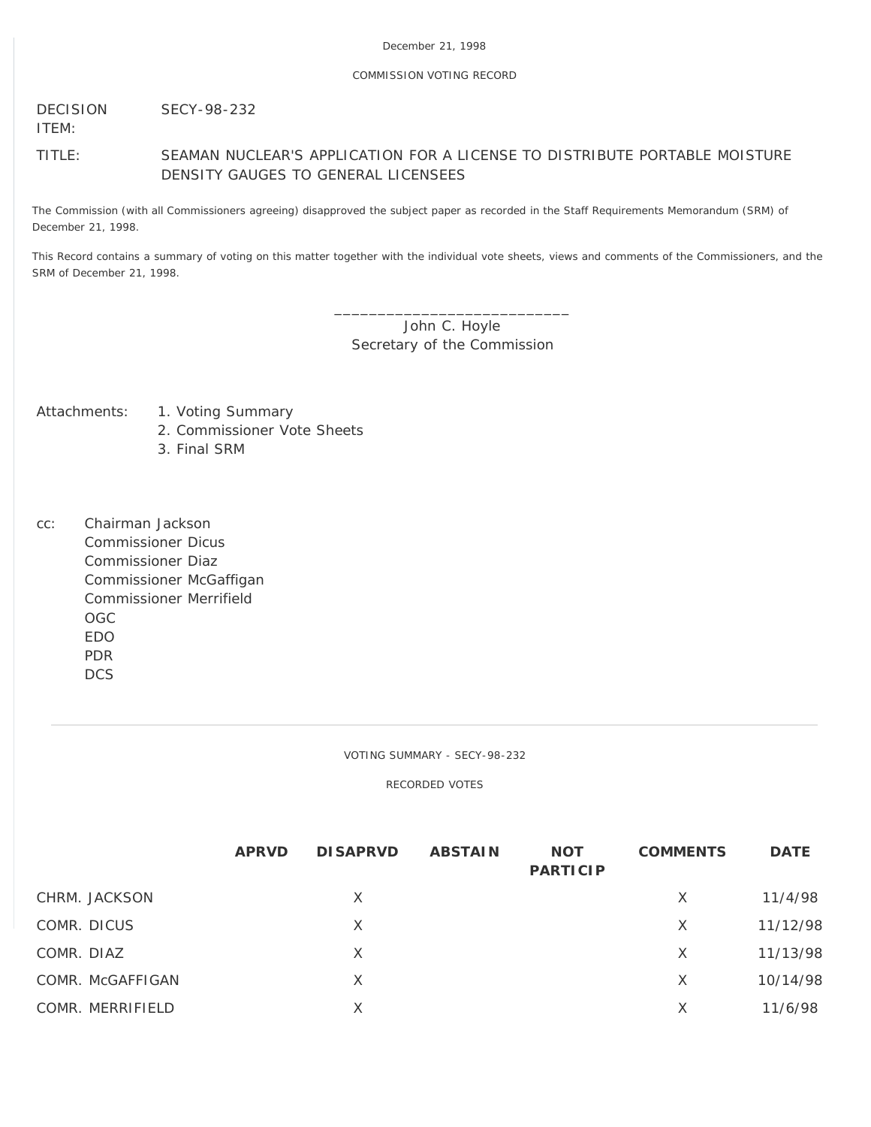# COMMISSION VOTING RECORD

DECISION SECY-98-232

ITEM:

TITLE: SEAMAN NUCLEAR'S APPLICATION FOR A LICENSE TO DISTRIBUTE PORTABLE MOISTURE DENSITY GAUGES TO GENERAL LICENSEES

The Commission (with all Commissioners agreeing) disapproved the subject paper as recorded in the Staff Requirements Memorandum (SRM) of December 21, 1998.

This Record contains a summary of voting on this matter together with the individual vote sheets, views and comments of the Commissioners, and the SRM of December 21, 1998.

> \_\_\_\_\_\_\_\_\_\_\_\_\_\_\_\_\_\_\_\_\_\_\_\_\_\_\_ John C. Hoyle Secretary of the Commission

- Attachments: 1. Voting Summary
	- 2. Commissioner Vote Sheets
	- 3. Final SRM
- cc: Chairman Jackson Commissioner Dicus Commissioner Diaz Commissioner McGaffigan Commissioner Merrifield OGC EDO PDR DCS

VOTING SUMMARY - SECY-98-232

RECORDED VOTES

|                  | <b>APRVD</b> | <b>DISAPRVD</b> | <b>ABSTAIN</b> | <b>NOT</b><br><b>PARTICIP</b> | <b>COMMENTS</b> | <b>DATE</b> |
|------------------|--------------|-----------------|----------------|-------------------------------|-----------------|-------------|
| CHRM. JACKSON    |              | $\times$        |                |                               | X               | 11/4/98     |
| COMR. DICUS      |              | $\times$        |                |                               | $\times$        | 11/12/98    |
| COMR. DIAZ       |              | X               |                |                               | X               | 11/13/98    |
| COMR. McGAFFIGAN |              | X               |                |                               | X               | 10/14/98    |
| COMR. MERRIFIELD |              | Χ               |                |                               | X               | 11/6/98     |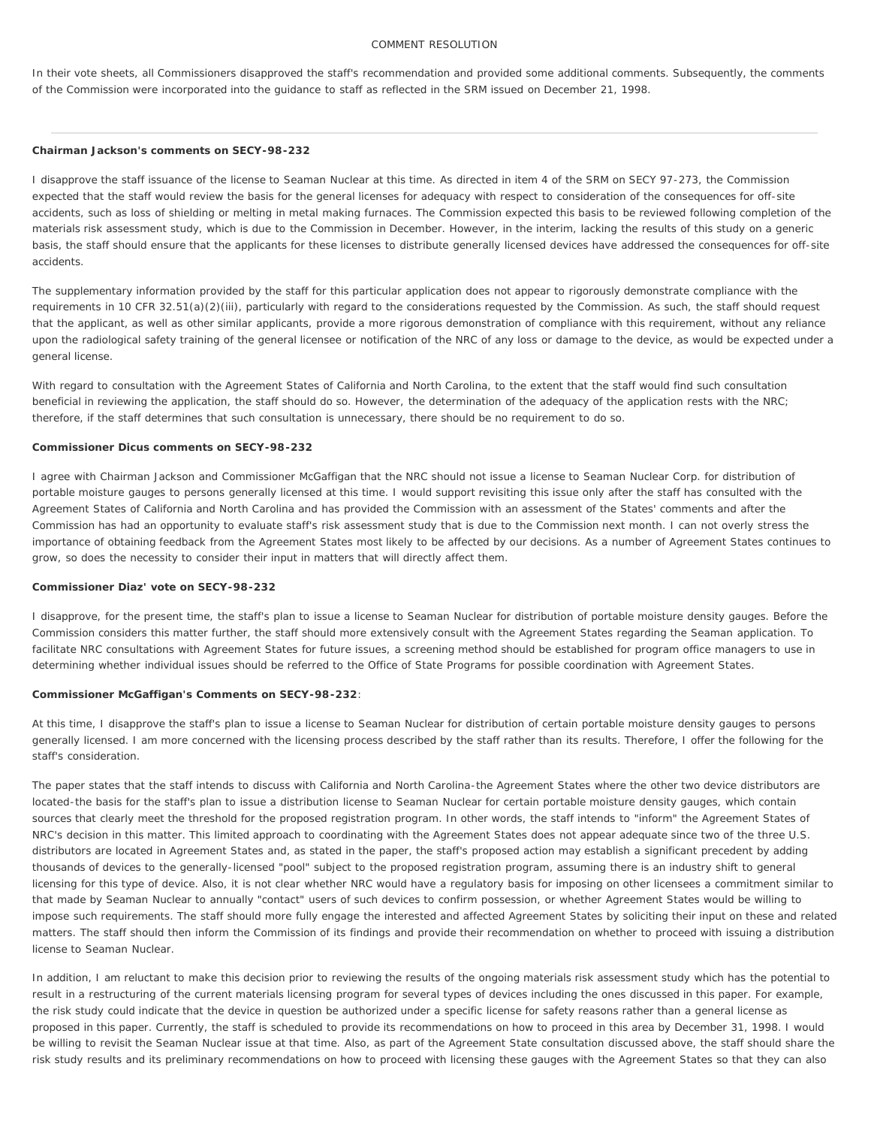## COMMENT RESOLUTION

In their vote sheets, all Commissioners disapproved the staff's recommendation and provided some additional comments. Subsequently, the comments of the Commission were incorporated into the guidance to staff as reflected in the SRM issued on December 21, 1998.

#### **Chairman Jackson's comments on SECY-98-232**

I disapprove the staff issuance of the license to Seaman Nuclear at this time. As directed in item 4 of the SRM on SECY 97-273, the Commission expected that the staff would review the basis for the general licenses for adequacy with respect to consideration of the consequences for off-site accidents, such as loss of shielding or melting in metal making furnaces. The Commission expected this basis to be reviewed following completion of the materials risk assessment study, which is due to the Commission in December. However, in the interim, lacking the results of this study on a generic basis, the staff should ensure that the applicants for these licenses to distribute generally licensed devices have addressed the consequences for off-site accidents.

The supplementary information provided by the staff for this particular application does not appear to rigorously demonstrate compliance with the requirements in 10 CFR 32.51(a)(2)(iii), particularly with regard to the considerations requested by the Commission. As such, the staff should request that the applicant, as well as other similar applicants, provide a more rigorous demonstration of compliance with this requirement, without any reliance upon the radiological safety training of the general licensee or notification of the NRC of any loss or damage to the device, as would be expected under a general license.

With regard to consultation with the Agreement States of California and North Carolina, to the extent that the staff would find such consultation beneficial in reviewing the application, the staff should do so. However, the determination of the adequacy of the application rests with the NRC; therefore, if the staff determines that such consultation is unnecessary, there should be no requirement to do so.

# **Commissioner Dicus comments on SECY-98-232**

I agree with Chairman Jackson and Commissioner McGaffigan that the NRC should not issue a license to Seaman Nuclear Corp. for distribution of portable moisture gauges to persons generally licensed at this time. I would support revisiting this issue only after the staff has consulted with the Agreement States of California and North Carolina and has provided the Commission with an assessment of the States' comments and after the Commission has had an opportunity to evaluate staff's risk assessment study that is due to the Commission next month. I can not overly stress the importance of obtaining feedback from the Agreement States most likely to be affected by our decisions. As a number of Agreement States continues to grow, so does the necessity to consider their input in matters that will directly affect them.

## **Commissioner Diaz' vote on SECY-98-232**

I disapprove, for the present time, the staff's plan to issue a license to Seaman Nuclear for distribution of portable moisture density gauges. Before the Commission considers this matter further, the staff should more extensively consult with the Agreement States regarding the Seaman application. To facilitate NRC consultations with Agreement States for future issues, a screening method should be established for program office managers to use in determining whether individual issues should be referred to the Office of State Programs for possible coordination with Agreement States.

## **Commissioner McGaffigan's Comments on SECY-98-232**:

At this time, I disapprove the staff's plan to issue a license to Seaman Nuclear for distribution of certain portable moisture density gauges to persons generally licensed. I am more concerned with the licensing process described by the staff rather than its results. Therefore, I offer the following for the staff's consideration.

The paper states that the staff intends to discuss with California and North Carolina-the Agreement States where the other two device distributors are located-the basis for the staff's plan to issue a distribution license to Seaman Nuclear for certain portable moisture density gauges, which contain sources that clearly meet the threshold for the proposed registration program. In other words, the staff intends to "inform" the Agreement States of NRC's decision in this matter. This limited approach to coordinating with the Agreement States does not appear adequate since two of the three U.S. distributors are located in Agreement States and, as stated in the paper, the staff's proposed action may establish a significant precedent by adding thousands of devices to the generally-licensed "pool" subject to the proposed registration program, assuming there is an industry shift to general licensing for this type of device. Also, it is not clear whether NRC would have a regulatory basis for imposing on other licensees a commitment similar to that made by Seaman Nuclear to annually "contact" users of such devices to confirm possession, or whether Agreement States would be willing to impose such requirements. The staff should more fully engage the interested and affected Agreement States by soliciting their input on these and related matters. The staff should then inform the Commission of its findings and provide their recommendation on whether to proceed with issuing a distribution license to Seaman Nuclear.

In addition, I am reluctant to make this decision prior to reviewing the results of the ongoing materials risk assessment study which has the potential to result in a restructuring of the current materials licensing program for several types of devices including the ones discussed in this paper. For example, the risk study could indicate that the device in question be authorized under a specific license for safety reasons rather than a general license as proposed in this paper. Currently, the staff is scheduled to provide its recommendations on how to proceed in this area by December 31, 1998. I would be willing to revisit the Seaman Nuclear issue at that time. Also, as part of the Agreement State consultation discussed above, the staff should share the risk study results and its preliminary recommendations on how to proceed with licensing these gauges with the Agreement States so that they can also